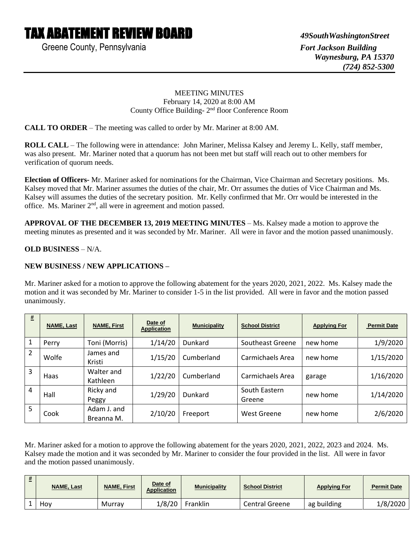# TAX ABATEMENT REVIEW BOARD *49SouthWashingtonStreet*

Greene County, Pennsylvania **Fort Jackson Building** Fort Jackson Building

#### MEETING MINUTES February 14, 2020 at 8:00 AM County Office Building- 2<sup>nd</sup> floor Conference Room

**CALL TO ORDER** – The meeting was called to order by Mr. Mariner at 8:00 AM.

**ROLL CALL** – The following were in attendance: John Mariner, Melissa Kalsey and Jeremy L. Kelly, staff member, was also present. Mr. Mariner noted that a quorum has not been met but staff will reach out to other members for verification of quorum needs.

**Election of Officers-** Mr. Mariner asked for nominations for the Chairman, Vice Chairman and Secretary positions. Ms. Kalsey moved that Mr. Mariner assumes the duties of the chair, Mr. Orr assumes the duties of Vice Chairman and Ms. Kalsey will assumes the duties of the secretary position. Mr. Kelly confirmed that Mr. Orr would be interested in the office. Ms. Mariner 2nd, all were in agreement and motion passed.

**APPROVAL OF THE DECEMBER 13, 2019 MEETING MINUTES** – Ms. Kalsey made a motion to approve the meeting minutes as presented and it was seconded by Mr. Mariner. All were in favor and the motion passed unanimously.

### **OLD BUSINESS** – N/A.

### **NEW BUSINESS / NEW APPLICATIONS –**

Mr. Mariner asked for a motion to approve the following abatement for the years 2020, 2021, 2022. Ms. Kalsey made the motion and it was seconded by Mr. Mariner to consider 1-5 in the list provided. All were in favor and the motion passed unanimously.

| $\pmb{\#}$     | <b>NAME, Last</b> | <b>NAME, First</b>        | Date of<br><b>Application</b> | <b>Municipality</b> | <b>School District</b>  | <b>Applying For</b> | <b>Permit Date</b> |
|----------------|-------------------|---------------------------|-------------------------------|---------------------|-------------------------|---------------------|--------------------|
|                | Perry             | Toni (Morris)             | 1/14/20                       | Dunkard             | Southeast Greene        | new home            | 1/9/2020           |
| $\overline{2}$ | Wolfe             | James and<br>Kristi       | 1/15/20                       | Cumberland          | Carmichaels Area        | new home            | 1/15/2020          |
| 3              | Haas              | Walter and<br>Kathleen    | 1/22/20                       | Cumberland          | Carmichaels Area        | garage              | 1/16/2020          |
| 4              | Hall              | Ricky and<br>Peggy        | 1/29/20                       | Dunkard             | South Eastern<br>Greene | new home            | 1/14/2020          |
| 5              | Cook              | Adam J. and<br>Breanna M. | 2/10/20                       | Freeport            | West Greene             | new home            | 2/6/2020           |

Mr. Mariner asked for a motion to approve the following abatement for the years 2020, 2021, 2022, 2023 and 2024. Ms. Kalsey made the motion and it was seconded by Mr. Mariner to consider the four provided in the list. All were in favor and the motion passed unanimously.

| <b>NAME, Last</b> | <b>NAME, First</b> | Date of<br><b>Application</b> | <b>Municipality</b> | <b>School District</b> | <b>Applying For</b> | <b>Permit Date</b> |
|-------------------|--------------------|-------------------------------|---------------------|------------------------|---------------------|--------------------|
| Hov               | Murrav             | 1/8/20                        | Franklin            | Central Greene         | ag building         | 1/8/2020           |